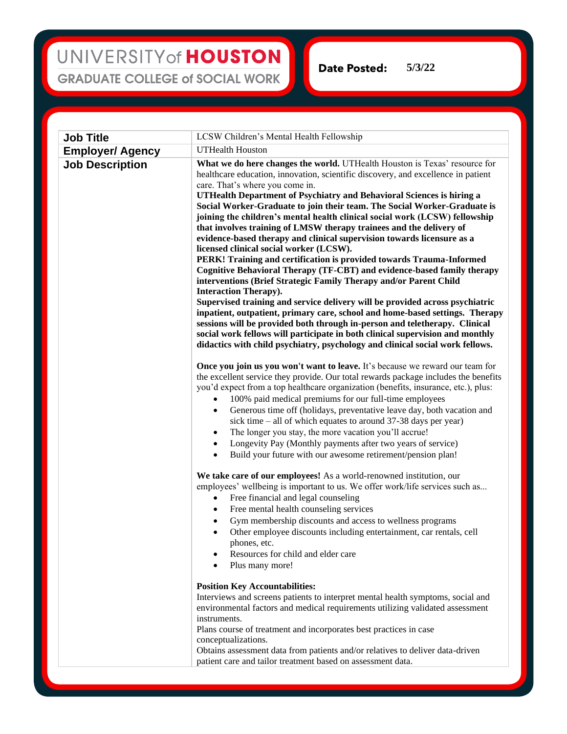## UNIVERSITY of HOUSTON **GRADUATE COLLEGE of SOCIAL WORK**

**5/3/22**Date Posted:

**Job Title** LCSW Children's Mental Health Fellowship **Employer/ Agency** UTHealth Houston **Job Description** What we do here changes the world. UTHealth Houston is Texas' resource for healthcare education, innovation, scientific discovery, and excellence in patient care. That's where you come in. **UTHealth Department of Psychiatry and Behavioral Sciences is hiring a Social Worker-Graduate to join their team. The Social Worker-Graduate is joining the children's mental health clinical social work (LCSW) fellowship that involves training of LMSW therapy trainees and the delivery of evidence-based therapy and clinical supervision towards licensure as a licensed clinical social worker (LCSW). PERK! Training and certification is provided towards Trauma-Informed Cognitive Behavioral Therapy (TF-CBT) and evidence-based family therapy interventions (Brief Strategic Family Therapy and/or Parent Child Interaction Therapy). Supervised training and service delivery will be provided across psychiatric inpatient, outpatient, primary care, school and home-based settings. Therapy sessions will be provided both through in-person and teletherapy. Clinical social work fellows will participate in both clinical supervision and monthly didactics with child psychiatry, psychology and clinical social work fellows. Once you join us you won't want to leave.** It's because we reward our team for the excellent service they provide. Our total rewards package includes the benefits you'd expect from a top healthcare organization (benefits, insurance, etc.), plus: • 100% paid medical premiums for our full-time employees • Generous time off (holidays, preventative leave day, both vacation and sick time – all of which equates to around 37-38 days per year) The longer you stay, the more vacation you'll accrue! • Longevity Pay (Monthly payments after two years of service) Build your future with our awesome retirement/pension plan! **We take care of our employees!** As a world-renowned institution, our employees' wellbeing is important to us. We offer work/life services such as... Free financial and legal counseling • Free mental health counseling services • Gym membership discounts and access to wellness programs • Other employee discounts including entertainment, car rentals, cell phones, etc. Resources for child and elder care Plus many more! **Position Key Accountabilities:** Interviews and screens patients to interpret mental health symptoms, social and environmental factors and medical requirements utilizing validated assessment instruments. Plans course of treatment and incorporates best practices in case conceptualizations. Obtains assessment data from patients and/or relatives to deliver data-driven patient care and tailor treatment based on assessment data.